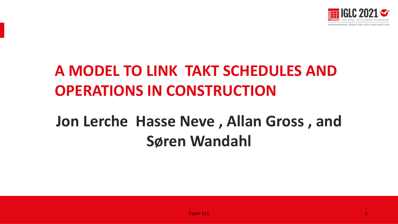

## **A MODEL TO LINK TAKT SCHEDULES AND OPERATIONS IN CONSTRUCTION**

# **Jon Lerche Hasse Neve , Allan Gross , and Søren Wandahl**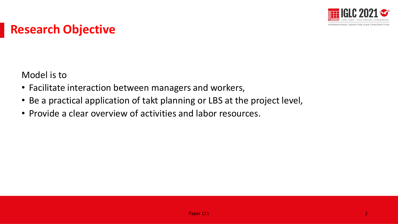

### **Research Objective**

Model is to

- Facilitate interaction between managers and workers,
- Be a practical application of takt planning or LBS at the project level,
- Provide a clear overview of activities and labor resources.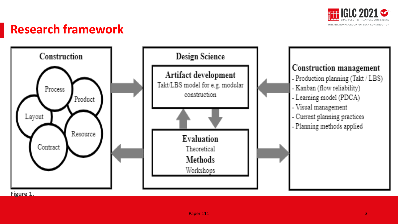

### **Research framework**



**Figure 1.**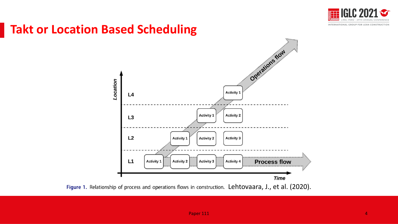

#### **Takt or Location Based Scheduling**

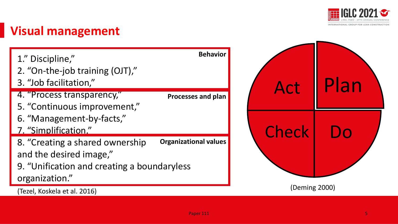

### **Visual management**

| 1." Discipline,"<br>2. "On-the-job training (OJT),"<br>3. "Job facilitation,"                             | <b>Behavior</b>              | Act           |  |
|-----------------------------------------------------------------------------------------------------------|------------------------------|---------------|--|
| 4. "Process transparency,"<br>5. "Continuous improvement,"                                                | Processes and plan           |               |  |
| 6. "Management-by-facts,"<br>7. "Simplification."                                                         |                              | Check         |  |
| 8. "Creating a shared ownership<br>and the desired image,"<br>9. "Unification and creating a boundaryless | <b>Organizational values</b> |               |  |
| organization."<br>(Tezel, Koskela et al. 2016)                                                            |                              | (Deming 2000) |  |

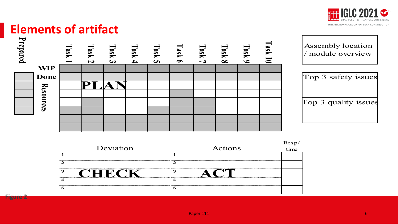

#### **Elements of artifact**

**Figure 2**

| Prepared |                  | Task | Task<br>$\overline{\mathbf{v}}$ | Task<br>$\overline{\mathbf{c}}$ | Task<br>$\rightarrow$ | Task<br>$\overline{u}$ | Task<br>$\bullet$ | Task<br>$\overline{\phantom{0}}$ | Task<br>$\infty$ | Task 9 | <b>Task 10</b> | Assembly location<br>module overview |
|----------|------------------|------|---------------------------------|---------------------------------|-----------------------|------------------------|-------------------|----------------------------------|------------------|--------|----------------|--------------------------------------|
|          | <b>WIP</b>       |      |                                 |                                 |                       |                        |                   |                                  |                  |        |                |                                      |
|          | Done             |      |                                 |                                 |                       |                        |                   |                                  |                  |        |                | Top 3 safety issues                  |
|          |                  |      |                                 |                                 |                       |                        |                   |                                  |                  |        |                |                                      |
|          | <b>Resources</b> |      |                                 |                                 |                       |                        |                   |                                  |                  |        |                |                                      |
|          |                  |      |                                 |                                 |                       |                        |                   |                                  |                  |        |                | Top 3 quality issues                 |
|          |                  |      |                                 |                                 |                       |                        |                   |                                  |                  |        |                |                                      |
|          |                  |      |                                 |                                 |                       |                        |                   |                                  |                  |        |                |                                      |
|          |                  |      |                                 |                                 |                       |                        |                   |                                  |                  |        |                |                                      |
|          |                  |      |                                 |                                 |                       |                        |                   |                                  |                  |        |                |                                      |

| Deviation | Actions | Resp/<br>time |
|-----------|---------|---------------|
|           |         |               |
|           |         |               |
|           |         |               |
|           |         |               |
|           |         |               |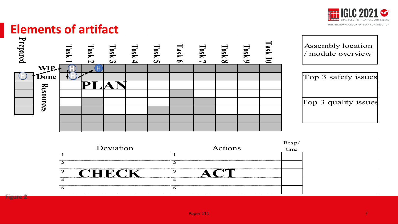

#### **Elements of artifact**



| Deviation | Actions | Resp/<br>time |
|-----------|---------|---------------|
|           |         |               |
|           |         |               |
|           |         |               |
|           |         |               |
|           |         |               |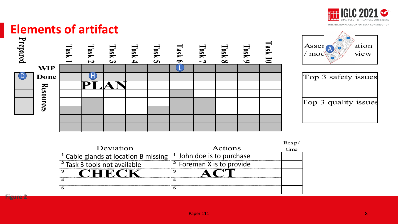

#### **Elements of artifact**

**Figure 2**

| Prepared |                  | [NSE] | <b>Lask 2</b> | [ask 3] | <b>Task 4</b> | Task 5 | <b>Task 6</b> | <b>Task 7</b> | Task 8 | <b>Task 9</b> | <b>Sask 10</b> |
|----------|------------------|-------|---------------|---------|---------------|--------|---------------|---------------|--------|---------------|----------------|
|          | <b>WIP</b>       |       |               |         |               |        |               |               |        |               |                |
|          | Done             |       |               |         |               |        |               |               |        |               |                |
|          |                  |       |               |         |               |        |               |               |        |               |                |
|          | <b>Resources</b> |       |               |         |               |        |               |               |        |               |                |
|          |                  |       |               |         |               |        |               |               |        |               |                |
|          |                  |       |               |         |               |        |               |               |        |               |                |
|          |                  |       |               |         |               |        |               |               |        |               |                |
|          |                  |       |               |         |               |        |               |               |        |               |                |



| Top 3 safety issues  |  |
|----------------------|--|
| Top 3 quality issues |  |

| Deviation                               | Actions                              | Resp/<br>time |
|-----------------------------------------|--------------------------------------|---------------|
| Cable glands at location B missing      | <sup>1</sup> John doe is to purchase |               |
| <sup>2</sup> Task 3 tools not available | <sup>2</sup> Foreman X is to provide |               |
|                                         |                                      |               |
|                                         |                                      |               |
|                                         |                                      |               |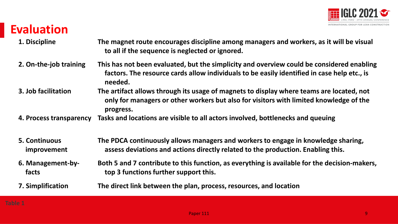

### **Evaluation**

- **1. Discipline The magnet route encourages discipline among managers and workers, as it will be visual to all if the sequence is neglected or ignored.**
- **2. On-the-job training This has not been evaluated, but the simplicity and overview could be considered enabling factors. The resource cards allow individuals to be easily identified in case help etc., is needed.**
- **3. Job facilitation The artifact allows through its usage of magnets to display where teams are located, not only for managers or other workers but also for visitors with limited knowledge of the progress.**
- **4. Process transparency Tasks and locations are visible to all actors involved, bottlenecks and queuing**
- **5. Continuous improvement The PDCA continuously allows managers and workers to engage in knowledge sharing, assess deviations and actions directly related to the production. Enabling this.**
- **6. Management-byfacts Both 5 and 7 contribute to this function, as everything is available for the decision-makers, top 3 functions further support this.**
- **7. Simplification The direct link between the plan, process, resources, and location**